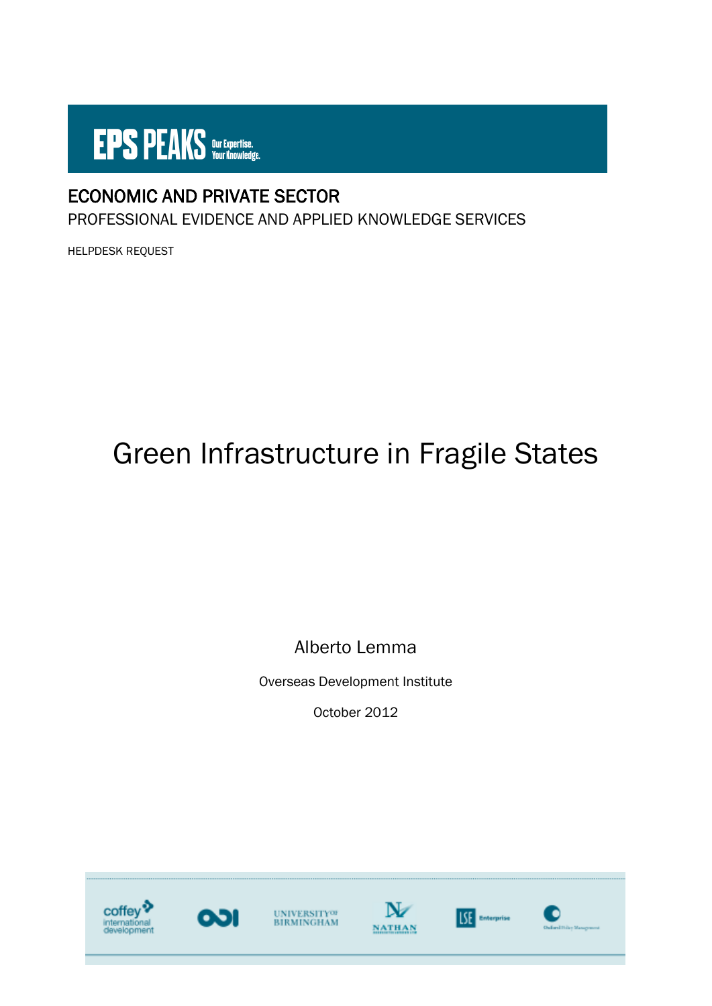

# ECONOMIC AND PRIVATE SECTOR

PROFESSIONAL EVIDENCE AND APPLIED KNOWLEDGE SERVICES

HELPDESK REQUEST

# Green Infrastructure in Fragile States

Alberto Lemma

Overseas Development Institute

October 2012

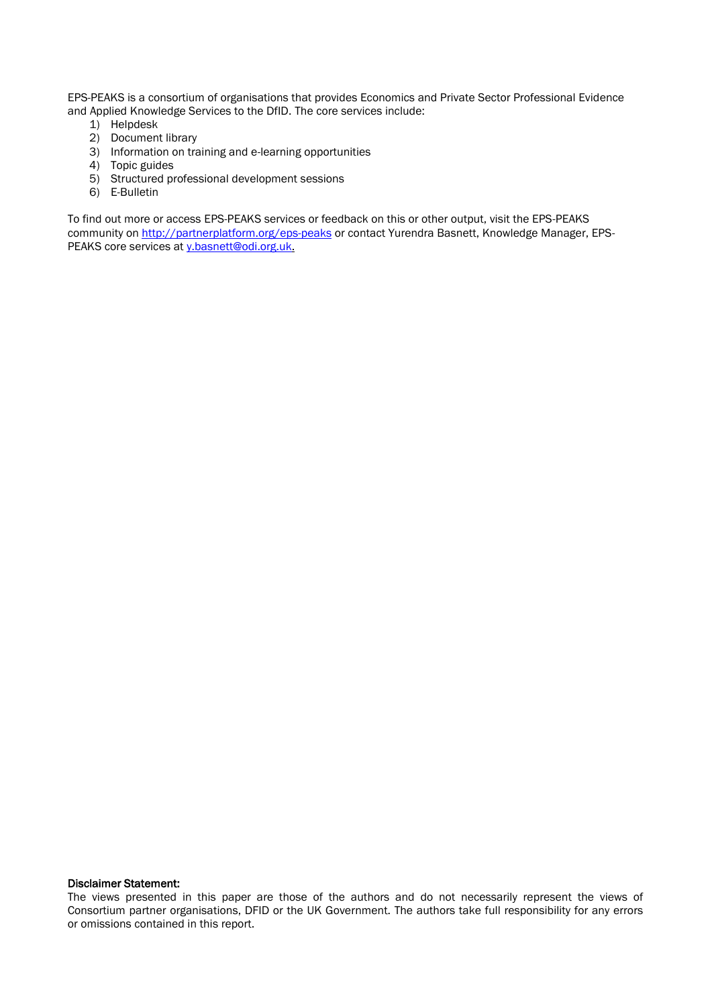EPS-PEAKS is a consortium of organisations that provides Economics and Private Sector Professional Evidence and Applied Knowledge Services to the DfID. The core services include:

- 1) Helpdesk
- 2) Document library
- 3) Information on training and e-learning opportunities
- 4) Topic guides
- 5) Structured professional development sessions
- 6) E-Bulletin

To find out more or access EPS-PEAKS services or feedback on this or other output, visit the EPS-PEAKS community on<http://partnerplatform.org/eps-peaks> or contact Yurendra Basnett, Knowledge Manager, EPS-PEAKS core services at [y.basnett@odi.org.uk.](mailto:y.basnett@odi.org.uk)

#### Disclaimer Statement:

The views presented in this paper are those of the authors and do not necessarily represent the views of Consortium partner organisations, DFID or the UK Government. The authors take full responsibility for any errors or omissions contained in this report.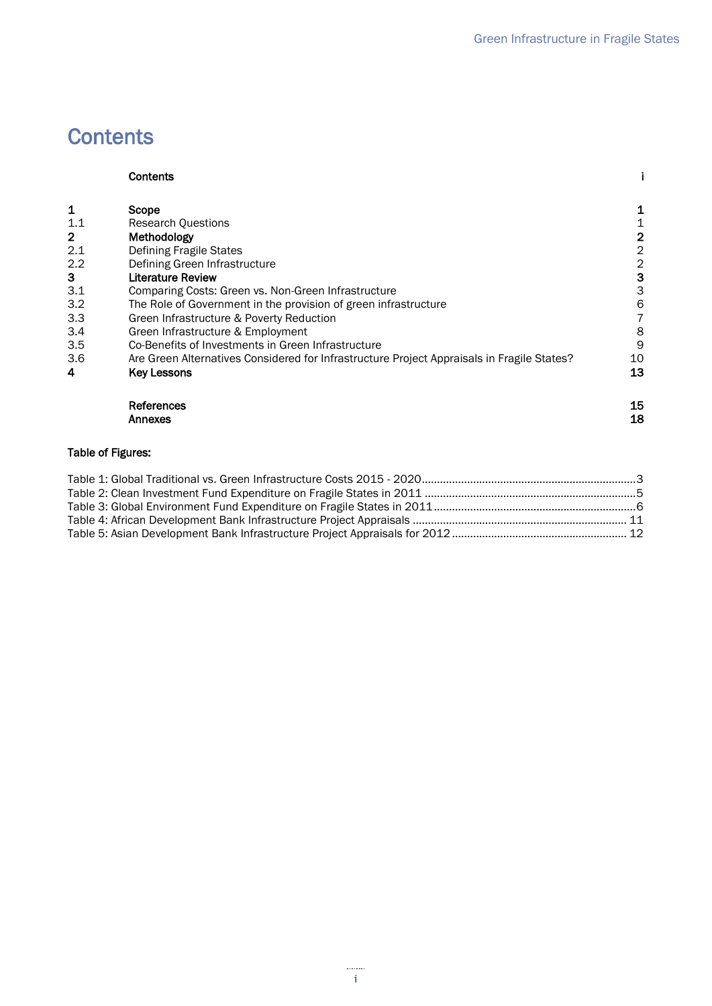# <span id="page-2-0"></span>**Contents**

|     | Contents                                                                                   |                |
|-----|--------------------------------------------------------------------------------------------|----------------|
| 1   | Scope                                                                                      | 1              |
| 1.1 | <b>Research Questions</b>                                                                  | 1              |
| 2   | Methodology                                                                                | $\overline{2}$ |
| 2.1 | <b>Defining Fragile States</b>                                                             | $\overline{2}$ |
| 2.2 | Defining Green Infrastructure                                                              | 2              |
| 3   | <b>Literature Review</b>                                                                   | 3              |
| 3.1 | Comparing Costs: Green vs. Non-Green Infrastructure                                        | 3              |
| 3.2 | The Role of Government in the provision of green infrastructure                            | 6              |
| 3.3 | Green Infrastructure & Poverty Reduction                                                   |                |
| 3.4 | Green Infrastructure & Employment                                                          | 8              |
| 3.5 | Co-Benefits of Investments in Green Infrastructure                                         | 9              |
| 3.6 | Are Green Alternatives Considered for Infrastructure Project Appraisals in Fragile States? | 10             |
| 4   | <b>Key Lessons</b>                                                                         | 13             |
|     | References                                                                                 | 15             |
|     | Annexes                                                                                    | 18             |

#### Table of Figures: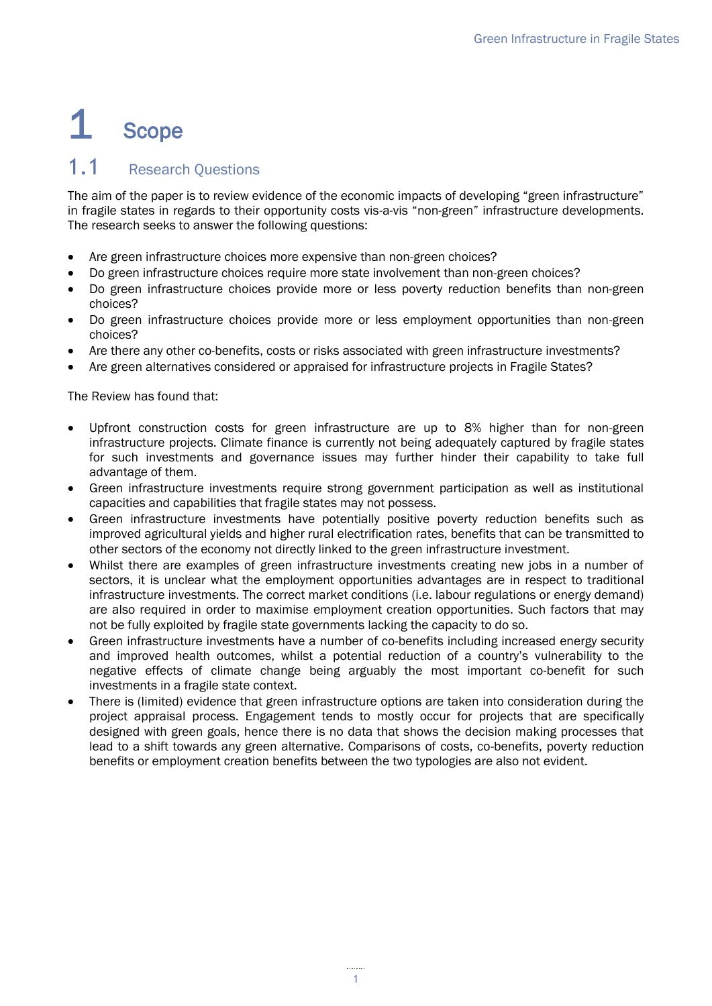# <span id="page-4-0"></span>1 Scope

### <span id="page-4-1"></span>1.1 Research Questions

The aim of the paper is to review evidence of the economic impacts of developing "green infrastructure" in fragile states in regards to their opportunity costs vis-a-vis "non-green" infrastructure developments. The research seeks to answer the following questions:

- Are green infrastructure choices more expensive than non-green choices?
- Do green infrastructure choices require more state involvement than non-green choices?
- Do green infrastructure choices provide more or less poverty reduction benefits than non-green choices?
- Do green infrastructure choices provide more or less employment opportunities than non-green choices?
- Are there any other co-benefits, costs or risks associated with green infrastructure investments?
- Are green alternatives considered or appraised for infrastructure projects in Fragile States?

The Review has found that:

- Upfront construction costs for green infrastructure are up to 8% higher than for non-green infrastructure projects. Climate finance is currently not being adequately captured by fragile states for such investments and governance issues may further hinder their capability to take full advantage of them.
- Green infrastructure investments require strong government participation as well as institutional capacities and capabilities that fragile states may not possess.
- Green infrastructure investments have potentially positive poverty reduction benefits such as improved agricultural yields and higher rural electrification rates, benefits that can be transmitted to other sectors of the economy not directly linked to the green infrastructure investment.
- Whilst there are examples of green infrastructure investments creating new jobs in a number of sectors, it is unclear what the employment opportunities advantages are in respect to traditional infrastructure investments. The correct market conditions (i.e. labour regulations or energy demand) are also required in order to maximise employment creation opportunities. Such factors that may not be fully exploited by fragile state governments lacking the capacity to do so.
- Green infrastructure investments have a number of co-benefits including increased energy security and improved health outcomes, whilst a potential reduction of a country's vulnerability to the negative effects of climate change being arguably the most important co-benefit for such investments in a fragile state context.
- <span id="page-4-2"></span> There is (limited) evidence that green infrastructure options are taken into consideration during the project appraisal process. Engagement tends to mostly occur for projects that are specifically designed with green goals, hence there is no data that shows the decision making processes that lead to a shift towards any green alternative. Comparisons of costs, co-benefits, poverty reduction benefits or employment creation benefits between the two typologies are also not evident.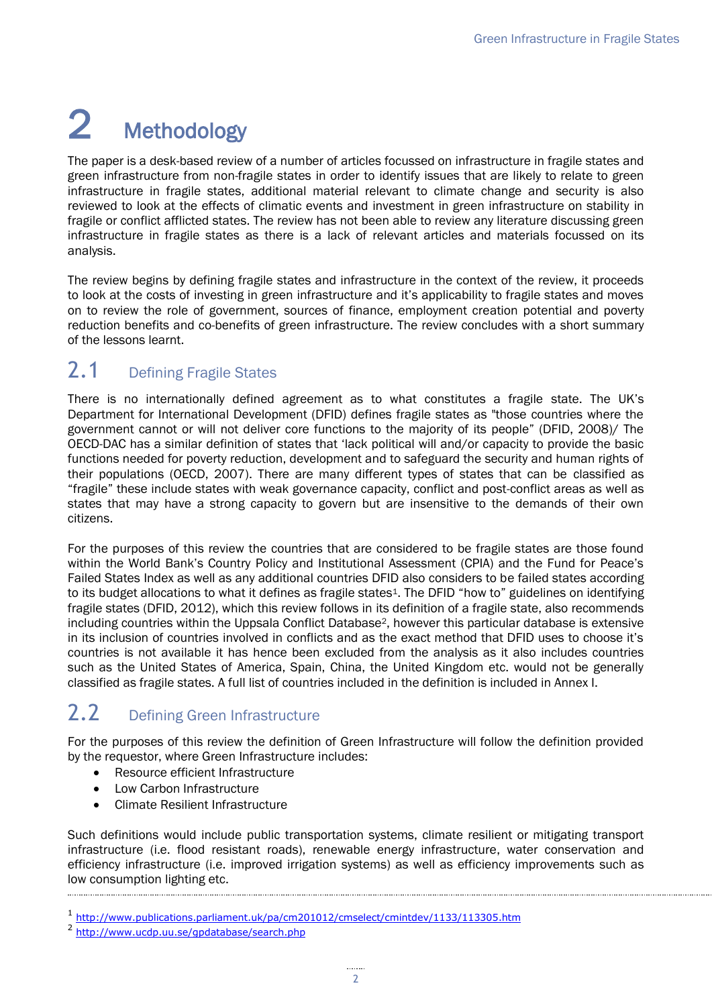# 2 Methodology

The paper is a desk-based review of a number of articles focussed on infrastructure in fragile states and green infrastructure from non-fragile states in order to identify issues that are likely to relate to green infrastructure in fragile states, additional material relevant to climate change and security is also reviewed to look at the effects of climatic events and investment in green infrastructure on stability in fragile or conflict afflicted states. The review has not been able to review any literature discussing green infrastructure in fragile states as there is a lack of relevant articles and materials focussed on its analysis.

The review begins by defining fragile states and infrastructure in the context of the review, it proceeds to look at the costs of investing in green infrastructure and it's applicability to fragile states and moves on to review the role of government, sources of finance, employment creation potential and poverty reduction benefits and co-benefits of green infrastructure. The review concludes with a short summary of the lessons learnt.

# <span id="page-5-0"></span>2.1 Defining Fragile States

There is no internationally defined agreement as to what constitutes a fragile state. The UK's Department for International Development (DFID) defines fragile states as "those countries where the government cannot or will not deliver core functions to the majority of its people" (DFID, 2008)/ The OECD-DAC has a similar definition of states that 'lack political will and/or capacity to provide the basic functions needed for poverty reduction, development and to safeguard the security and human rights of their populations (OECD, 2007). There are many different types of states that can be classified as "fragile" these include states with weak governance capacity, conflict and post-conflict areas as well as states that may have a strong capacity to govern but are insensitive to the demands of their own citizens.

For the purposes of this review the countries that are considered to be fragile states are those found within the World Bank's Country Policy and Institutional Assessment (CPIA) and the Fund for Peace's Failed States Index as well as any additional countries DFID also considers to be failed states according to its budget allocations to what it defines as fragile states<sup>1</sup>. The DFID "how to" guidelines on identifying fragile states (DFID, 2012), which this review follows in its definition of a fragile state, also recommends including countries within the Uppsala Conflict Database2, however this particular database is extensive in its inclusion of countries involved in conflicts and as the exact method that DFID uses to choose it's countries is not available it has hence been excluded from the analysis as it also includes countries such as the United States of America, Spain, China, the United Kingdom etc. would not be generally classified as fragile states. A full list of countries included in the definition is included in Annex I.

# <span id="page-5-1"></span>2.2 Defining Green Infrastructure

For the purposes of this review the definition of Green Infrastructure will follow the definition provided by the requestor, where Green Infrastructure includes:

- Resource efficient Infrastructure
- Low Carbon Infrastructure
- Climate Resilient Infrastructure

Such definitions would include public transportation systems, climate resilient or mitigating transport infrastructure (i.e. flood resistant roads), renewable energy infrastructure, water conservation and efficiency infrastructure (i.e. improved irrigation systems) as well as efficiency improvements such as low consumption lighting etc.

<sup>1</sup> <http://www.publications.parliament.uk/pa/cm201012/cmselect/cmintdev/1133/113305.htm>

<sup>&</sup>lt;sup>2</sup> <http://www.ucdp.uu.se/gpdatabase/search.php>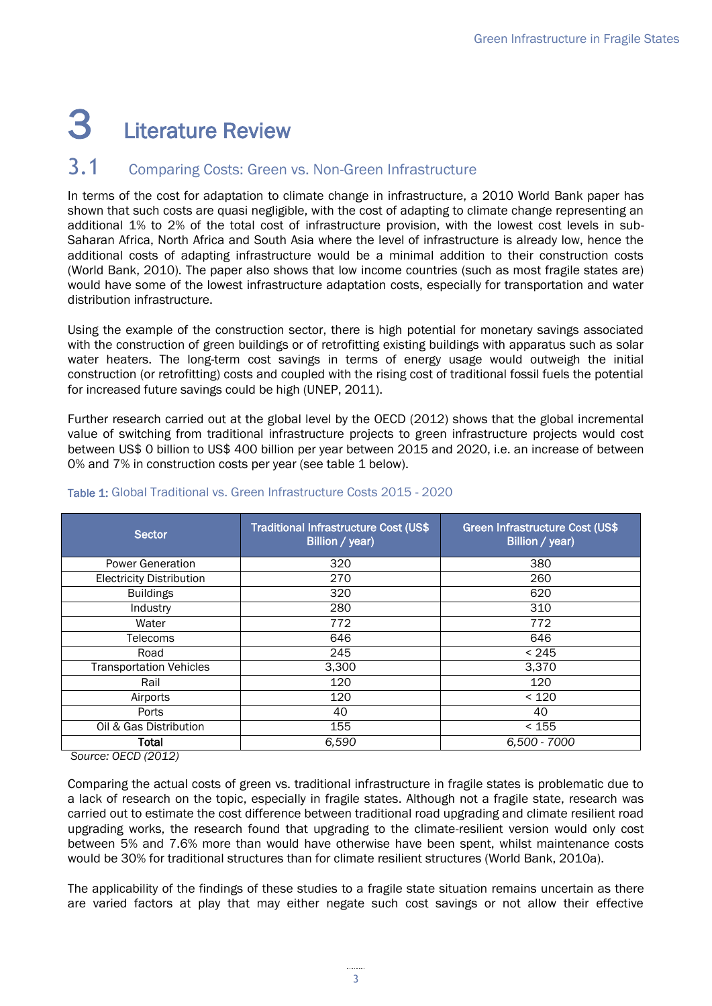# <span id="page-6-0"></span>3 Literature Review

### <span id="page-6-1"></span>3.1 Comparing Costs: Green vs. Non-Green Infrastructure

In terms of the cost for adaptation to climate change in infrastructure, a 2010 World Bank paper has shown that such costs are quasi negligible, with the cost of adapting to climate change representing an additional 1% to 2% of the total cost of infrastructure provision, with the lowest cost levels in sub-Saharan Africa, North Africa and South Asia where the level of infrastructure is already low, hence the additional costs of adapting infrastructure would be a minimal addition to their construction costs (World Bank, 2010). The paper also shows that low income countries (such as most fragile states are) would have some of the lowest infrastructure adaptation costs, especially for transportation and water distribution infrastructure.

Using the example of the construction sector, there is high potential for monetary savings associated with the construction of green buildings or of retrofitting existing buildings with apparatus such as solar water heaters. The long-term cost savings in terms of energy usage would outweigh the initial construction (or retrofitting) costs and coupled with the rising cost of traditional fossil fuels the potential for increased future savings could be high (UNEP, 2011).

Further research carried out at the global level by the OECD (2012) shows that the global incremental value of switching from traditional infrastructure projects to green infrastructure projects would cost between US\$ 0 billion to US\$ 400 billion per year between 2015 and 2020, i.e. an increase of between 0% and 7% in construction costs per year (see table 1 below).

| <b>Sector</b>                   | Traditional Infrastructure Cost (US\$<br>Billion / year) | Green Infrastructure Cost (US\$<br>Billion / year) |  |
|---------------------------------|----------------------------------------------------------|----------------------------------------------------|--|
| <b>Power Generation</b>         | 320                                                      | 380                                                |  |
| <b>Electricity Distribution</b> | 270                                                      | 260                                                |  |
| <b>Buildings</b>                | 320                                                      | 620                                                |  |
| Industry                        | 280                                                      | 310                                                |  |
| Water                           | 772                                                      | 772                                                |  |
| Telecoms                        | 646                                                      | 646                                                |  |
| Road                            | 245                                                      | < 245                                              |  |
| <b>Transportation Vehicles</b>  | 3,300                                                    | 3,370                                              |  |
| Rail                            | 120                                                      | 120                                                |  |
| Airports                        | 120                                                      | < 120                                              |  |
| Ports                           | 40                                                       | 40                                                 |  |
| Oil & Gas Distribution          | 155                                                      | < 155                                              |  |
| Total                           | 6,590                                                    | 6,500 - 7000                                       |  |

#### <span id="page-6-2"></span>Table 1: Global Traditional vs. Green Infrastructure Costs 2015 - 2020

*Source: OECD (2012)*

Comparing the actual costs of green vs. traditional infrastructure in fragile states is problematic due to a lack of research on the topic, especially in fragile states. Although not a fragile state, research was carried out to estimate the cost difference between traditional road upgrading and climate resilient road upgrading works, the research found that upgrading to the climate-resilient version would only cost between 5% and 7.6% more than would have otherwise have been spent, whilst maintenance costs would be 30% for traditional structures than for climate resilient structures (World Bank, 2010a).

The applicability of the findings of these studies to a fragile state situation remains uncertain as there are varied factors at play that may either negate such cost savings or not allow their effective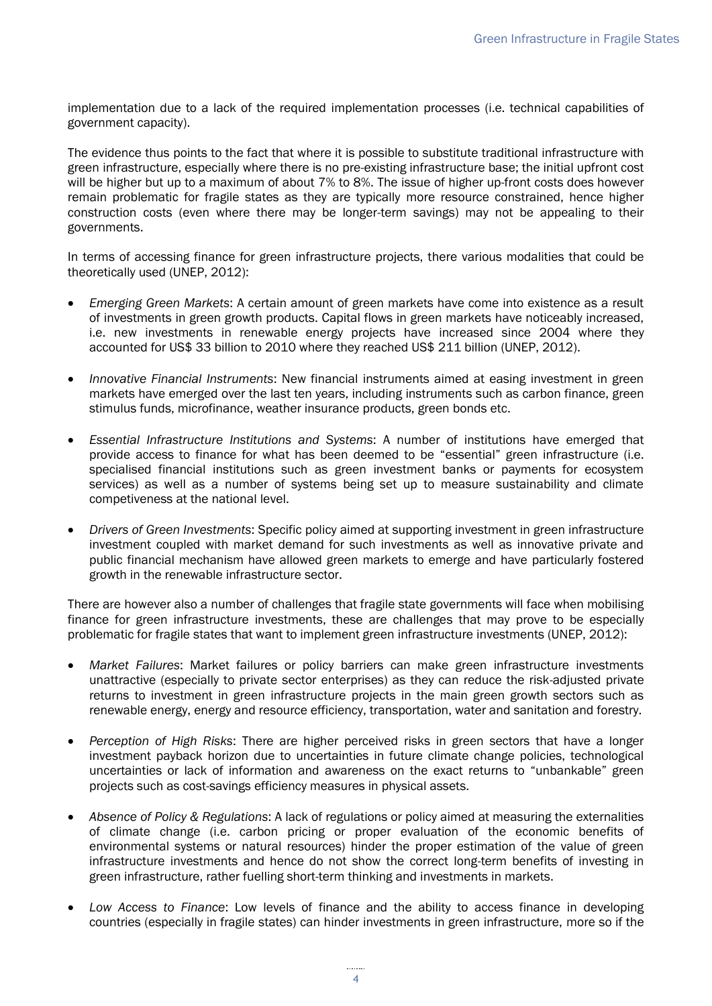implementation due to a lack of the required implementation processes (i.e. technical capabilities of government capacity).

The evidence thus points to the fact that where it is possible to substitute traditional infrastructure with green infrastructure, especially where there is no pre-existing infrastructure base; the initial upfront cost will be higher but up to a maximum of about 7% to 8%. The issue of higher up-front costs does however remain problematic for fragile states as they are typically more resource constrained, hence higher construction costs (even where there may be longer-term savings) may not be appealing to their governments.

In terms of accessing finance for green infrastructure projects, there various modalities that could be theoretically used (UNEP, 2012):

- *Emerging Green Markets*: A certain amount of green markets have come into existence as a result of investments in green growth products. Capital flows in green markets have noticeably increased, i.e. new investments in renewable energy projects have increased since 2004 where they accounted for US\$ 33 billion to 2010 where they reached US\$ 211 billion (UNEP, 2012).
- *Innovative Financial Instruments*: New financial instruments aimed at easing investment in green markets have emerged over the last ten years, including instruments such as carbon finance, green stimulus funds, microfinance, weather insurance products, green bonds etc.
- *Essential Infrastructure Institutions and Systems*: A number of institutions have emerged that provide access to finance for what has been deemed to be "essential" green infrastructure (i.e. specialised financial institutions such as green investment banks or payments for ecosystem services) as well as a number of systems being set up to measure sustainability and climate competiveness at the national level.
- *Drivers of Green Investments*: Specific policy aimed at supporting investment in green infrastructure investment coupled with market demand for such investments as well as innovative private and public financial mechanism have allowed green markets to emerge and have particularly fostered growth in the renewable infrastructure sector.

There are however also a number of challenges that fragile state governments will face when mobilising finance for green infrastructure investments, these are challenges that may prove to be especially problematic for fragile states that want to implement green infrastructure investments (UNEP, 2012):

- *Market Failures*: Market failures or policy barriers can make green infrastructure investments unattractive (especially to private sector enterprises) as they can reduce the risk-adjusted private returns to investment in green infrastructure projects in the main green growth sectors such as renewable energy, energy and resource efficiency, transportation, water and sanitation and forestry.
- *Perception of High Risks*: There are higher perceived risks in green sectors that have a longer investment payback horizon due to uncertainties in future climate change policies, technological uncertainties or lack of information and awareness on the exact returns to "unbankable" green projects such as cost-savings efficiency measures in physical assets.
- *Absence of Policy & Regulations*: A lack of regulations or policy aimed at measuring the externalities of climate change (i.e. carbon pricing or proper evaluation of the economic benefits of environmental systems or natural resources) hinder the proper estimation of the value of green infrastructure investments and hence do not show the correct long-term benefits of investing in green infrastructure, rather fuelling short-term thinking and investments in markets.
- *Low Access to Finance*: Low levels of finance and the ability to access finance in developing countries (especially in fragile states) can hinder investments in green infrastructure, more so if the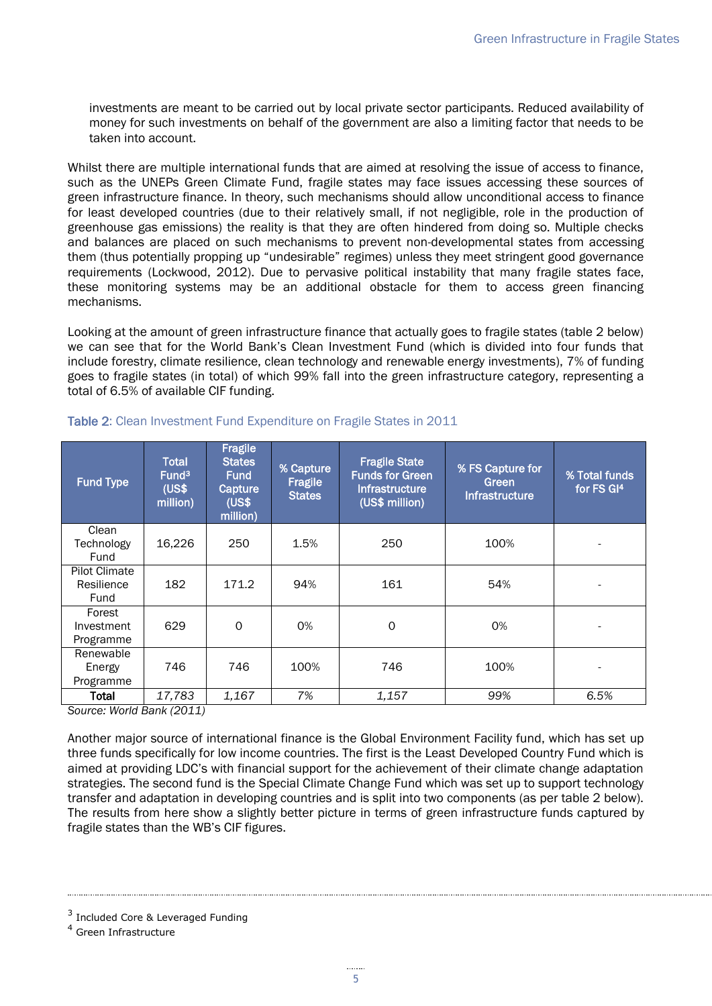investments are meant to be carried out by local private sector participants. Reduced availability of money for such investments on behalf of the government are also a limiting factor that needs to be taken into account.

Whilst there are multiple international funds that are aimed at resolving the issue of access to finance, such as the UNEPs Green Climate Fund, fragile states may face issues accessing these sources of green infrastructure finance. In theory, such mechanisms should allow unconditional access to finance for least developed countries (due to their relatively small, if not negligible, role in the production of greenhouse gas emissions) the reality is that they are often hindered from doing so. Multiple checks and balances are placed on such mechanisms to prevent non-developmental states from accessing them (thus potentially propping up "undesirable" regimes) unless they meet stringent good governance requirements (Lockwood, 2012). Due to pervasive political instability that many fragile states face, these monitoring systems may be an additional obstacle for them to access green financing mechanisms.

Looking at the amount of green infrastructure finance that actually goes to fragile states (table 2 below) we can see that for the World Bank's Clean Investment Fund (which is divided into four funds that include forestry, climate resilience, clean technology and renewable energy investments), 7% of funding goes to fragile states (in total) of which 99% fall into the green infrastructure category, representing a total of 6.5% of available CIF funding.

| <b>Fund Type</b> | <b>Total</b><br>Fund <sup>3</sup><br>(US\$<br>million) | Fragile<br><b>States</b><br><b>Fund</b><br>Capture<br>(US\$<br>million) | % Capture<br>Fragile<br><b>States</b> | <b>Fragile State</b><br><b>Funds for Green</b><br><b>Infrastructure</b><br>(US\$ million) | % FS Capture for<br>Green<br>Infrastructure | % Total funds<br>for FS GI <sup>4</sup> |
|------------------|--------------------------------------------------------|-------------------------------------------------------------------------|---------------------------------------|-------------------------------------------------------------------------------------------|---------------------------------------------|-----------------------------------------|
| Clean            |                                                        |                                                                         |                                       |                                                                                           |                                             |                                         |
| Technology       | 16,226                                                 | 250                                                                     | 1.5%                                  | 250                                                                                       | 100%                                        |                                         |
| Fund             |                                                        |                                                                         |                                       |                                                                                           |                                             |                                         |
| Pilot Climate    |                                                        |                                                                         |                                       |                                                                                           |                                             |                                         |
| Resilience       | 182                                                    | 171.2                                                                   | 94%                                   | 161                                                                                       | 54%                                         |                                         |
| Fund             |                                                        |                                                                         |                                       |                                                                                           |                                             |                                         |
| Forest           |                                                        |                                                                         |                                       |                                                                                           |                                             |                                         |
| Investment       | 629                                                    | 0                                                                       | 0%                                    | 0                                                                                         | 0%                                          |                                         |
| Programme        |                                                        |                                                                         |                                       |                                                                                           |                                             |                                         |
| Renewable        |                                                        |                                                                         |                                       |                                                                                           |                                             |                                         |
| Energy           | 746                                                    | 746                                                                     | 100%                                  | 746                                                                                       | 100%                                        |                                         |
| Programme        |                                                        |                                                                         |                                       |                                                                                           |                                             |                                         |
| Total            | 17,783                                                 | 1,167                                                                   | 7%                                    | 1,157                                                                                     | 99%                                         | 6.5%                                    |

#### <span id="page-8-0"></span>Table 2: Clean Investment Fund Expenditure on Fragile States in 2011

*Source: World Bank (2011)*

Another major source of international finance is the Global Environment Facility fund, which has set up three funds specifically for low income countries. The first is the Least Developed Country Fund which is aimed at providing LDC's with financial support for the achievement of their climate change adaptation strategies. The second fund is the Special Climate Change Fund which was set up to support technology transfer and adaptation in developing countries and is split into two components (as per table 2 below). The results from here show a slightly better picture in terms of green infrastructure funds captured by fragile states than the WB's CIF figures.

<span id="page-8-1"></span><sup>&</sup>lt;sup>3</sup> Included Core & Leveraged Funding

<sup>4</sup> Green Infrastructure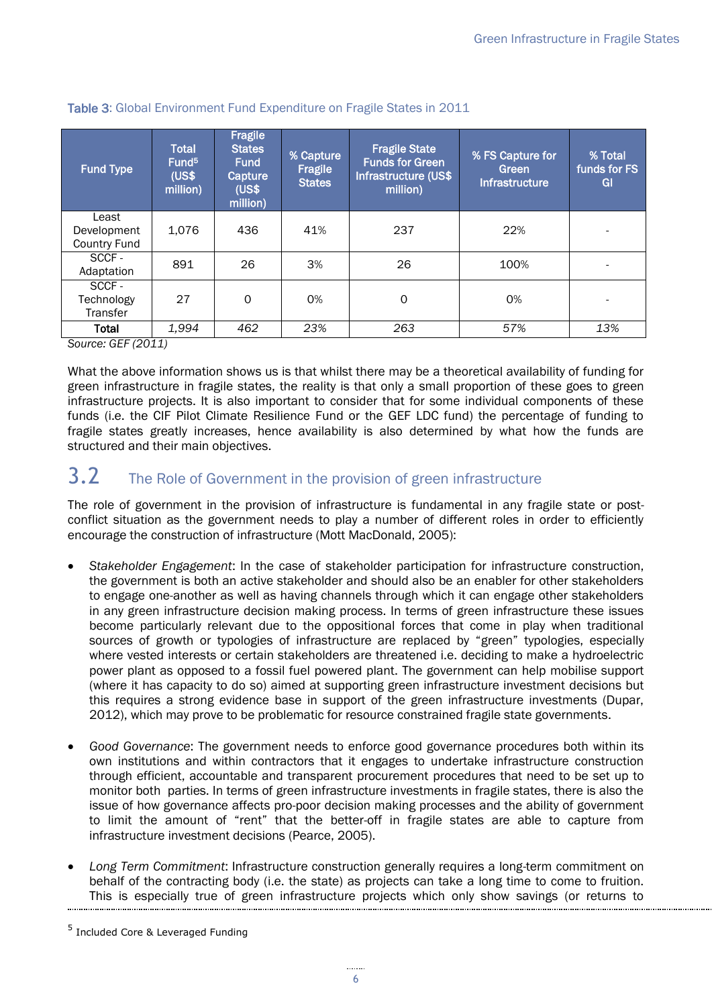| <b>Fund Type</b>                            | <b>Total</b><br>Fund <sup>5</sup><br>(US\$<br>million) | <b>Fragile</b><br><b>States</b><br><b>Fund</b><br>Capture<br>(US\$<br>million) | % Capture<br>Fragile<br><b>States</b> | <b>Fragile State</b><br><b>Funds for Green</b><br>Infrastructure (US\$<br>million) | % FS Capture for<br>Green<br><b>Infrastructure</b> | % Total<br>funds for FS<br>GI |
|---------------------------------------------|--------------------------------------------------------|--------------------------------------------------------------------------------|---------------------------------------|------------------------------------------------------------------------------------|----------------------------------------------------|-------------------------------|
| Least<br>Development<br><b>Country Fund</b> | 1.076                                                  | 436                                                                            | 41%                                   | 237                                                                                | 22%                                                |                               |
| SCCF-<br>Adaptation                         | 891                                                    | 26                                                                             | 3%                                    | 26                                                                                 | 100%                                               |                               |
| SCCF-<br>Technology<br><b>Transfer</b>      | 27                                                     | $\Omega$                                                                       | 0%                                    | 0                                                                                  | 0%                                                 |                               |
| Total                                       | 1,994                                                  | 462                                                                            | 23%                                   | 263                                                                                | 57%                                                | 13%                           |

#### Table 3: Global Environment Fund Expenditure on Fragile States in 2011

*Source: GEF (2011)*

What the above information shows us is that whilst there may be a theoretical availability of funding for green infrastructure in fragile states, the reality is that only a small proportion of these goes to green infrastructure projects. It is also important to consider that for some individual components of these funds (i.e. the CIF Pilot Climate Resilience Fund or the GEF LDC fund) the percentage of funding to fragile states greatly increases, hence availability is also determined by what how the funds are structured and their main objectives.

### <span id="page-9-0"></span>3.2 The Role of Government in the provision of green infrastructure

The role of government in the provision of infrastructure is fundamental in any fragile state or postconflict situation as the government needs to play a number of different roles in order to efficiently encourage the construction of infrastructure (Mott MacDonald, 2005):

- *Stakeholder Engagement*: In the case of stakeholder participation for infrastructure construction, the government is both an active stakeholder and should also be an enabler for other stakeholders to engage one-another as well as having channels through which it can engage other stakeholders in any green infrastructure decision making process. In terms of green infrastructure these issues become particularly relevant due to the oppositional forces that come in play when traditional sources of growth or typologies of infrastructure are replaced by "green" typologies, especially where vested interests or certain stakeholders are threatened i.e. deciding to make a hydroelectric power plant as opposed to a fossil fuel powered plant. The government can help mobilise support (where it has capacity to do so) aimed at supporting green infrastructure investment decisions but this requires a strong evidence base in support of the green infrastructure investments (Dupar, 2012), which may prove to be problematic for resource constrained fragile state governments.
- *Good Governance*: The government needs to enforce good governance procedures both within its own institutions and within contractors that it engages to undertake infrastructure construction through efficient, accountable and transparent procurement procedures that need to be set up to monitor both parties. In terms of green infrastructure investments in fragile states, there is also the issue of how governance affects pro-poor decision making processes and the ability of government to limit the amount of "rent" that the better-off in fragile states are able to capture from infrastructure investment decisions (Pearce, 2005).
- *Long Term Commitment*: Infrastructure construction generally requires a long-term commitment on behalf of the contracting body (i.e. the state) as projects can take a long time to come to fruition. This is especially true of green infrastructure projects which only show savings (or returns to

<sup>5</sup> Included Core & Leveraged Funding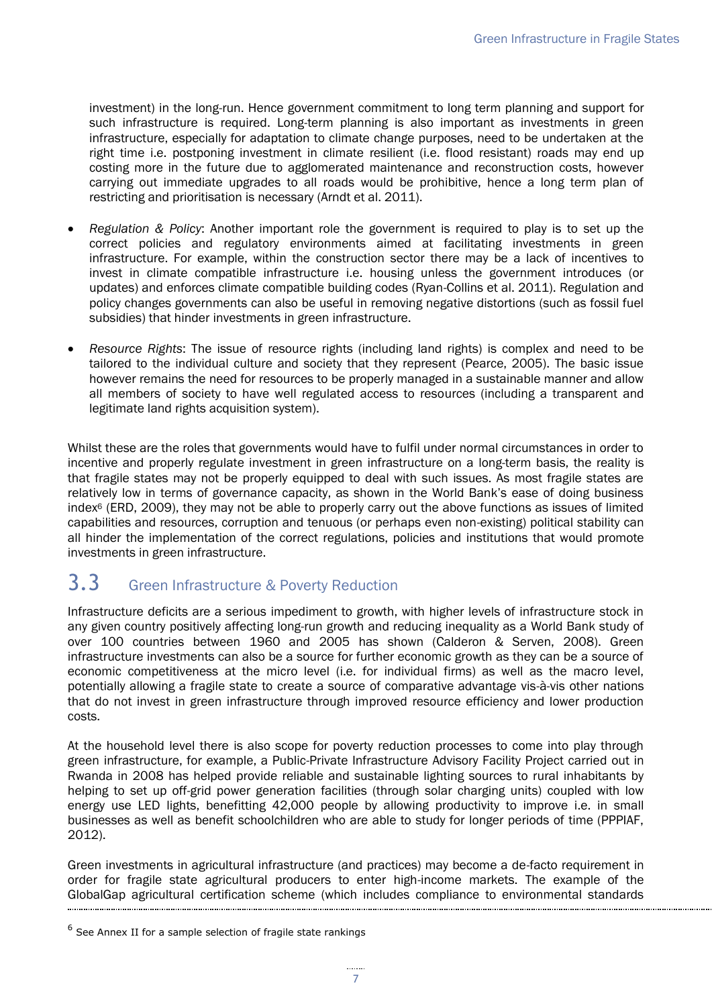investment) in the long-run. Hence government commitment to long term planning and support for such infrastructure is required. Long-term planning is also important as investments in green infrastructure, especially for adaptation to climate change purposes, need to be undertaken at the right time i.e. postponing investment in climate resilient (i.e. flood resistant) roads may end up costing more in the future due to agglomerated maintenance and reconstruction costs, however carrying out immediate upgrades to all roads would be prohibitive, hence a long term plan of restricting and prioritisation is necessary (Arndt et al. 2011).

- *Regulation & Policy*: Another important role the government is required to play is to set up the correct policies and regulatory environments aimed at facilitating investments in green infrastructure. For example, within the construction sector there may be a lack of incentives to invest in climate compatible infrastructure i.e. housing unless the government introduces (or updates) and enforces climate compatible building codes (Ryan-Collins et al. 2011). Regulation and policy changes governments can also be useful in removing negative distortions (such as fossil fuel subsidies) that hinder investments in green infrastructure.
- *Resource Rights*: The issue of resource rights (including land rights) is complex and need to be tailored to the individual culture and society that they represent (Pearce, 2005). The basic issue however remains the need for resources to be properly managed in a sustainable manner and allow all members of society to have well regulated access to resources (including a transparent and legitimate land rights acquisition system).

Whilst these are the roles that governments would have to fulfil under normal circumstances in order to incentive and properly regulate investment in green infrastructure on a long-term basis, the reality is that fragile states may not be properly equipped to deal with such issues. As most fragile states are relatively low in terms of governance capacity, as shown in the World Bank's ease of doing business index<sup>6</sup> (ERD, 2009), they may not be able to properly carry out the above functions as issues of limited capabilities and resources, corruption and tenuous (or perhaps even non-existing) political stability can all hinder the implementation of the correct regulations, policies and institutions that would promote investments in green infrastructure.

### <span id="page-10-0"></span>3.3 Green Infrastructure & Poverty Reduction

Infrastructure deficits are a serious impediment to growth, with higher levels of infrastructure stock in any given country positively affecting long-run growth and reducing inequality as a World Bank study of over 100 countries between 1960 and 2005 has shown (Calderon & Serven, 2008). Green infrastructure investments can also be a source for further economic growth as they can be a source of economic competitiveness at the micro level (i.e. for individual firms) as well as the macro level, potentially allowing a fragile state to create a source of comparative advantage vis-à-vis other nations that do not invest in green infrastructure through improved resource efficiency and lower production costs.

At the household level there is also scope for poverty reduction processes to come into play through green infrastructure, for example, a Public-Private Infrastructure Advisory Facility Project carried out in Rwanda in 2008 has helped provide reliable and sustainable lighting sources to rural inhabitants by helping to set up off-grid power generation facilities (through solar charging units) coupled with low energy use LED lights, benefitting 42,000 people by allowing productivity to improve i.e. in small businesses as well as benefit schoolchildren who are able to study for longer periods of time (PPPIAF, 2012).

Green investments in agricultural infrastructure (and practices) may become a de-facto requirement in order for fragile state agricultural producers to enter high-income markets. The example of the GlobalGap agricultural certification scheme (which includes compliance to environmental standards

 $<sup>6</sup>$  See Annex II for a sample selection of fragile state rankings</sup>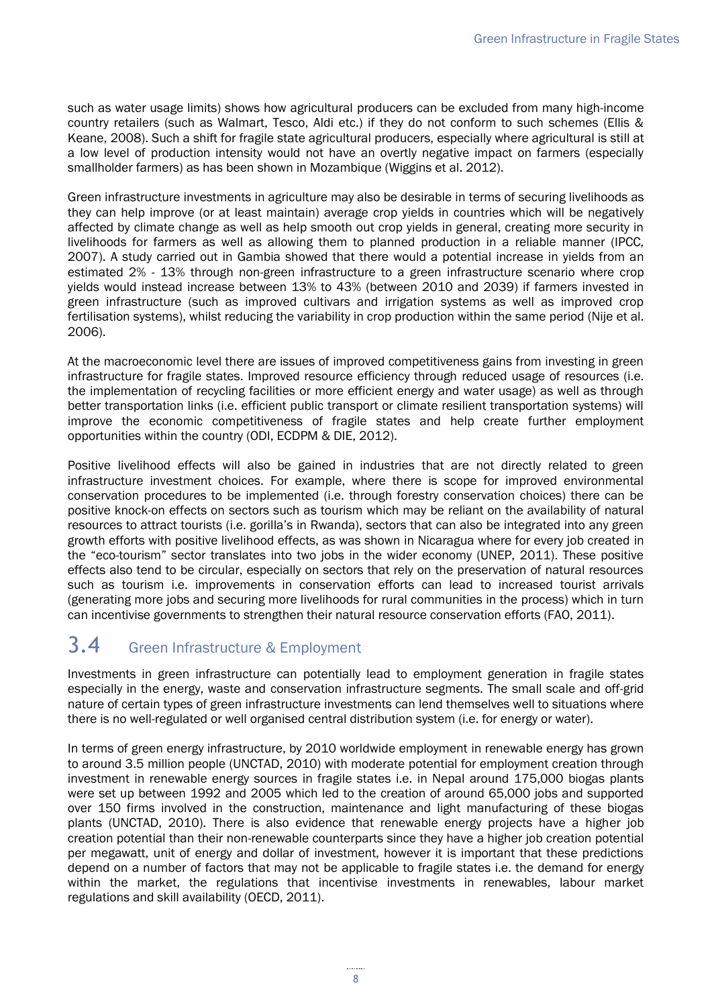such as water usage limits) shows how agricultural producers can be excluded from many high-income country retailers (such as Walmart, Tesco, Aldi etc.) if they do not conform to such schemes (Ellis & Keane, 2008). Such a shift for fragile state agricultural producers, especially where agricultural is still at a low level of production intensity would not have an overtly negative impact on farmers (especially smallholder farmers) as has been shown in Mozambique (Wiggins et al. 2012).

Green infrastructure investments in agriculture may also be desirable in terms of securing livelihoods as they can help improve (or at least maintain) average crop yields in countries which will be negatively affected by climate change as well as help smooth out crop yields in general, creating more security in livelihoods for farmers as well as allowing them to planned production in a reliable manner (IPCC, 2007). A study carried out in Gambia showed that there would a potential increase in yields from an estimated 2% - 13% through non-green infrastructure to a green infrastructure scenario where crop yields would instead increase between 13% to 43% (between 2010 and 2039) if farmers invested in green infrastructure (such as improved cultivars and irrigation systems as well as improved crop fertilisation systems), whilst reducing the variability in crop production within the same period (Nije et al. 2006).

At the macroeconomic level there are issues of improved competitiveness gains from investing in green infrastructure for fragile states. Improved resource efficiency through reduced usage of resources (i.e. the implementation of recycling facilities or more efficient energy and water usage) as well as through better transportation links (i.e. efficient public transport or climate resilient transportation systems) will improve the economic competitiveness of fragile states and help create further employment opportunities within the country (ODI, ECDPM & DIE, 2012).

Positive livelihood effects will also be gained in industries that are not directly related to green infrastructure investment choices. For example, where there is scope for improved environmental conservation procedures to be implemented (i.e. through forestry conservation choices) there can be positive knock-on effects on sectors such as tourism which may be reliant on the availability of natural resources to attract tourists (i.e. gorilla's in Rwanda), sectors that can also be integrated into any green growth efforts with positive livelihood effects, as was shown in Nicaragua where for every job created in the "eco-tourism" sector translates into two jobs in the wider economy (UNEP, 2011). These positive effects also tend to be circular, especially on sectors that rely on the preservation of natural resources such as tourism i.e. improvements in conservation efforts can lead to increased tourist arrivals (generating more jobs and securing more livelihoods for rural communities in the process) which in turn can incentivise governments to strengthen their natural resource conservation efforts (FAO, 2011).

# <span id="page-11-0"></span>3.4 Green Infrastructure & Employment

Investments in green infrastructure can potentially lead to employment generation in fragile states especially in the energy, waste and conservation infrastructure segments. The small scale and off-grid nature of certain types of green infrastructure investments can lend themselves well to situations where there is no well-regulated or well organised central distribution system (i.e. for energy or water).

In terms of green energy infrastructure, by 2010 worldwide employment in renewable energy has grown to around 3.5 million people (UNCTAD, 2010) with moderate potential for employment creation through investment in renewable energy sources in fragile states i.e. in Nepal around 175,000 biogas plants were set up between 1992 and 2005 which led to the creation of around 65,000 jobs and supported over 150 firms involved in the construction, maintenance and light manufacturing of these biogas plants (UNCTAD, 2010). There is also evidence that renewable energy projects have a higher job creation potential than their non-renewable counterparts since they have a higher job creation potential per megawatt, unit of energy and dollar of investment, however it is important that these predictions depend on a number of factors that may not be applicable to fragile states i.e. the demand for energy within the market, the regulations that incentivise investments in renewables, labour market regulations and skill availability (OECD, 2011).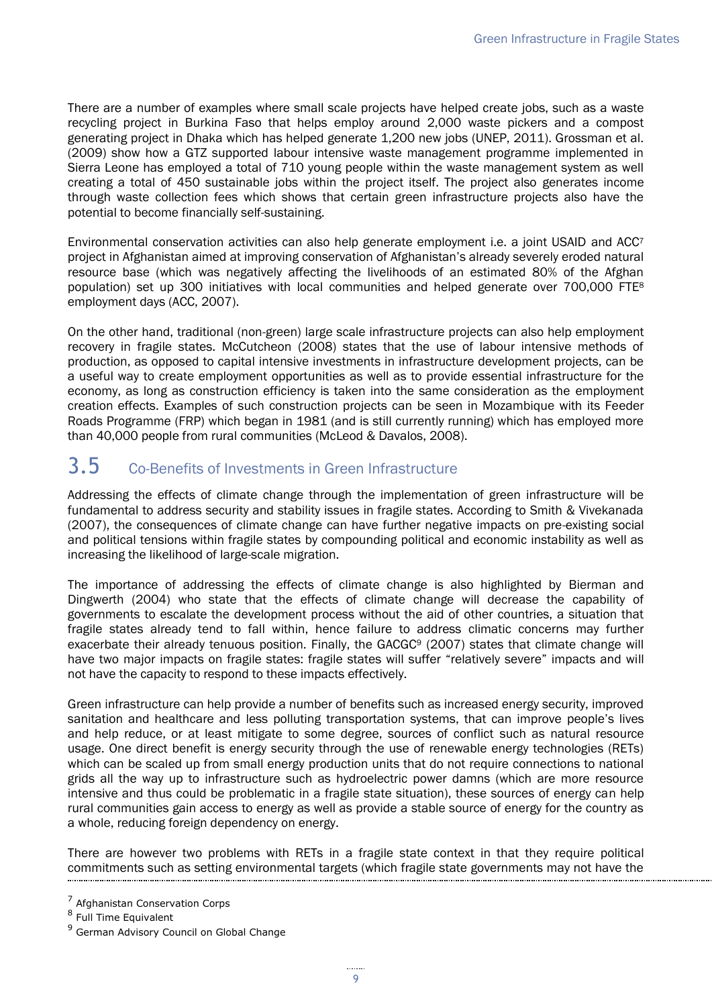There are a number of examples where small scale projects have helped create jobs, such as a waste recycling project in Burkina Faso that helps employ around 2,000 waste pickers and a compost generating project in Dhaka which has helped generate 1,200 new jobs (UNEP, 2011). Grossman et al. (2009) show how a GTZ supported labour intensive waste management programme implemented in Sierra Leone has employed a total of 710 young people within the waste management system as well creating a total of 450 sustainable jobs within the project itself. The project also generates income through waste collection fees which shows that certain green infrastructure projects also have the potential to become financially self-sustaining.

Environmental conservation activities can also help generate employment i.e. a joint USAID and ACC<sup>7</sup> project in Afghanistan aimed at improving conservation of Afghanistan's already severely eroded natural resource base (which was negatively affecting the livelihoods of an estimated 80% of the Afghan population) set up 300 initiatives with local communities and helped generate over 700,000 FTE<sup>8</sup> employment days (ACC, 2007).

On the other hand, traditional (non-green) large scale infrastructure projects can also help employment recovery in fragile states. McCutcheon (2008) states that the use of labour intensive methods of production, as opposed to capital intensive investments in infrastructure development projects, can be a useful way to create employment opportunities as well as to provide essential infrastructure for the economy, as long as construction efficiency is taken into the same consideration as the employment creation effects. Examples of such construction projects can be seen in Mozambique with its Feeder Roads Programme (FRP) which began in 1981 (and is still currently running) which has employed more than 40,000 people from rural communities (McLeod & Davalos, 2008).

# <span id="page-12-0"></span>3.5 Co-Benefits of Investments in Green Infrastructure

Addressing the effects of climate change through the implementation of green infrastructure will be fundamental to address security and stability issues in fragile states. According to Smith & Vivekanada (2007), the consequences of climate change can have further negative impacts on pre-existing social and political tensions within fragile states by compounding political and economic instability as well as increasing the likelihood of large-scale migration.

The importance of addressing the effects of climate change is also highlighted by Bierman and Dingwerth (2004) who state that the effects of climate change will decrease the capability of governments to escalate the development process without the aid of other countries, a situation that fragile states already tend to fall within, hence failure to address climatic concerns may further exacerbate their already tenuous position. Finally, the GACGC<sup>9</sup> (2007) states that climate change will have two major impacts on fragile states: fragile states will suffer "relatively severe" impacts and will not have the capacity to respond to these impacts effectively.

Green infrastructure can help provide a number of benefits such as increased energy security, improved sanitation and healthcare and less polluting transportation systems, that can improve people's lives and help reduce, or at least mitigate to some degree, sources of conflict such as natural resource usage. One direct benefit is energy security through the use of renewable energy technologies (RETs) which can be scaled up from small energy production units that do not require connections to national grids all the way up to infrastructure such as hydroelectric power damns (which are more resource intensive and thus could be problematic in a fragile state situation), these sources of energy can help rural communities gain access to energy as well as provide a stable source of energy for the country as a whole, reducing foreign dependency on energy.

There are however two problems with RETs in a fragile state context in that they require political commitments such as setting environmental targets (which fragile state governments may not have the

<sup>&</sup>lt;sup>7</sup> Afghanistan Conservation Corps

<sup>&</sup>lt;sup>8</sup> Full Time Equivalent

<sup>&</sup>lt;sup>9</sup> German Advisory Council on Global Change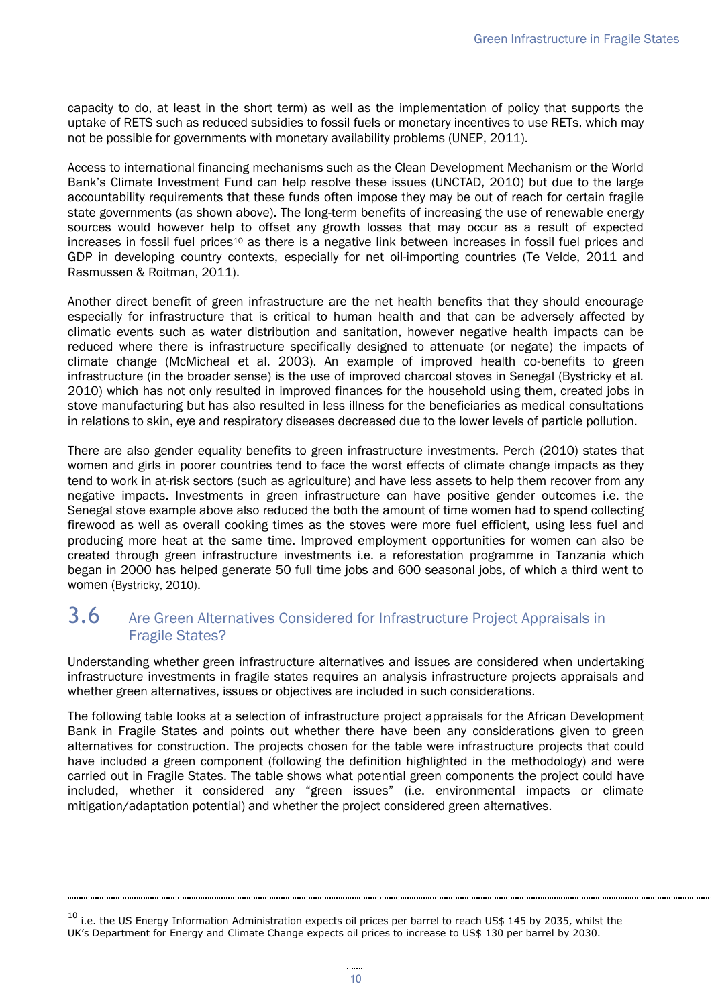capacity to do, at least in the short term) as well as the implementation of policy that supports the uptake of RETS such as reduced subsidies to fossil fuels or monetary incentives to use RETs, which may not be possible for governments with monetary availability problems (UNEP, 2011).

Access to international financing mechanisms such as the Clean Development Mechanism or the World Bank's Climate Investment Fund can help resolve these issues (UNCTAD, 2010) but due to the large accountability requirements that these funds often impose they may be out of reach for certain fragile state governments (as shown above). The long-term benefits of increasing the use of renewable energy sources would however help to offset any growth losses that may occur as a result of expected increases in fossil fuel prices<sup>10</sup> as there is a negative link between increases in fossil fuel prices and GDP in developing country contexts, especially for net oil-importing countries (Te Velde, 2011 and Rasmussen & Roitman, 2011).

Another direct benefit of green infrastructure are the net health benefits that they should encourage especially for infrastructure that is critical to human health and that can be adversely affected by climatic events such as water distribution and sanitation, however negative health impacts can be reduced where there is infrastructure specifically designed to attenuate (or negate) the impacts of climate change (McMicheal et al. 2003). An example of improved health co-benefits to green infrastructure (in the broader sense) is the use of improved charcoal stoves in Senegal (Bystricky et al. 2010) which has not only resulted in improved finances for the household using them, created jobs in stove manufacturing but has also resulted in less illness for the beneficiaries as medical consultations in relations to skin, eye and respiratory diseases decreased due to the lower levels of particle pollution.

There are also gender equality benefits to green infrastructure investments. Perch (2010) states that women and girls in poorer countries tend to face the worst effects of climate change impacts as they tend to work in at-risk sectors (such as agriculture) and have less assets to help them recover from any negative impacts. Investments in green infrastructure can have positive gender outcomes i.e. the Senegal stove example above also reduced the both the amount of time women had to spend collecting firewood as well as overall cooking times as the stoves were more fuel efficient, using less fuel and producing more heat at the same time. Improved employment opportunities for women can also be created through green infrastructure investments i.e. a reforestation programme in Tanzania which began in 2000 has helped generate 50 full time jobs and 600 seasonal jobs, of which a third went to women (Bystricky, 2010).

#### <span id="page-13-0"></span>3.6 Are Green Alternatives Considered for Infrastructure Project Appraisals in Fragile States?

Understanding whether green infrastructure alternatives and issues are considered when undertaking infrastructure investments in fragile states requires an analysis infrastructure projects appraisals and whether green alternatives, issues or objectives are included in such considerations.

The following table looks at a selection of infrastructure project appraisals for the African Development Bank in Fragile States and points out whether there have been any considerations given to green alternatives for construction. The projects chosen for the table were infrastructure projects that could have included a green component (following the definition highlighted in the methodology) and were carried out in Fragile States. The table shows what potential green components the project could have included, whether it considered any "green issues" (i.e. environmental impacts or climate mitigation/adaptation potential) and whether the project considered green alternatives.

<span id="page-13-1"></span> $10$  i.e. the US Energy Information Administration expects oil prices per barrel to reach US\$ 145 by 2035, whilst the UK's Department for Energy and Climate Change expects oil prices to increase to US\$ 130 per barrel by 2030.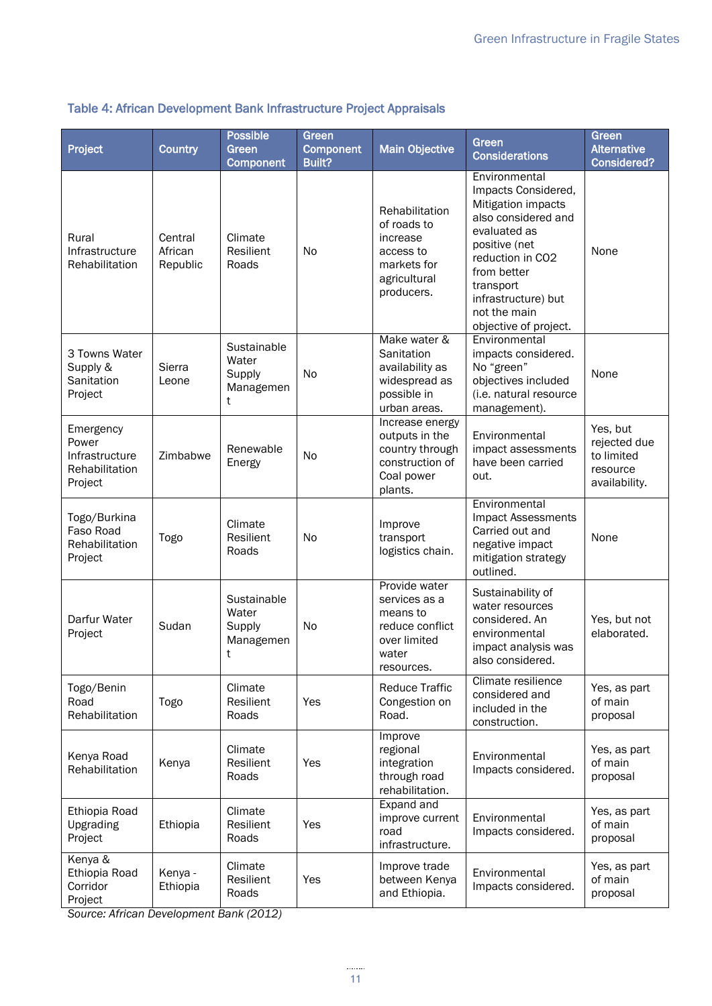#### Project Country Possible Green Component Green Component Built? Main Objective Green **Considerations** Green **Alternative** Considered? Rural Infrastructure Rehabilitation **Central African** Republic Climate Resilient Roads No **Rehabilitation** of roads to increase access to markets for agricultural producers. **Environmental** Impacts Considered, Mitigation impacts also considered and evaluated as positive (net reduction in CO2 from better transport infrastructure) but not the main objective of project. None 3 Towns Water Supply & **Sanitation** Project Sierra Leone **Sustainable Water** Supply Managemen t No Make water & **Sanitation** availability as widespread as possible in urban areas. **Environmental** impacts considered. No "green" objectives included (i.e. natural resource management). None Emergency Power Infrastructure Rehabilitation Project  $Z$ imbabwe  $R$ enewable Energy No Increase energy outputs in the country through construction of Coal power plants. Environmental impact assessments have been carried out. Yes, but rejected due to limited resource availability. Togo/Burkina Faso Road Rehabilitation Project Togo Climate Resilient Roads No Improve transport logistics chain. **Environmental** Impact Assessments Carried out and negative impact mitigation strategy outlined. None Darfur Water Project | Sudan Sustainable Water Supply Managemen t No Provide water services as a means to reduce conflict over limited water resources. Sustainability of water resources considered. An environmental impact analysis was also considered. Yes, but not elaborated. Togo/Benin Road Rehabilitation Togo Climate Resilient Roads Yes Reduce Traffic Congestion on Road. Climate resilience considered and included in the construction. Yes, as part of main proposal Kenya Road Rehabilitation Kenya<br>Rehabilitation Kenya Climate Resilient Roads Yes Improve regional integration through road rehabilitation. **Environmental** Impacts considered. Yes, as part of main proposal Ethiopia Road Upgrading Project Ethiopia Climate Resilient Roads Yes Expand and improve current road infrastructure. Environmental Impacts considered. Yes, as part of main proposal Kenya & Ethiopia Road Corridor Project Kenya - Ethiopia Climate Resilient Roads Yes Improve trade between Kenya and Ethiopia. **Environmental** Impacts considered. Yes, as part of main proposal

#### Table 4: African Development Bank Infrastructure Project Appraisals

*Source: African Development Bank (2012)*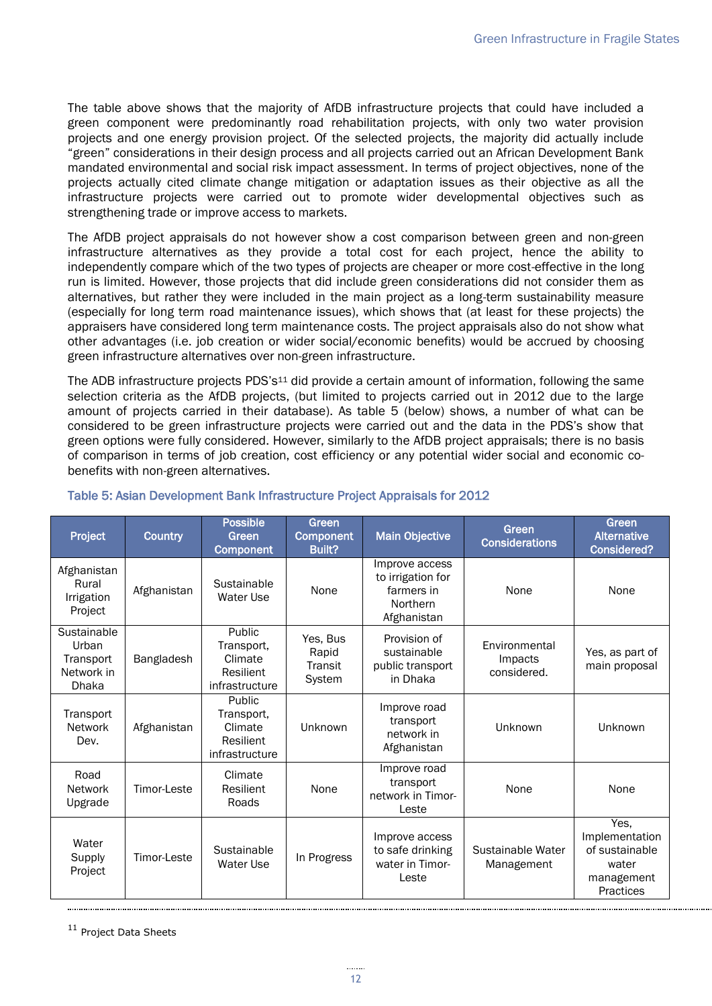The table above shows that the majority of AfDB infrastructure projects that could have included a green component were predominantly road rehabilitation projects, with only two water provision projects and one energy provision project. Of the selected projects, the majority did actually include "green" considerations in their design process and all projects carried out an African Development Bank mandated environmental and social risk impact assessment. In terms of project objectives, none of the projects actually cited climate change mitigation or adaptation issues as their objective as all the infrastructure projects were carried out to promote wider developmental objectives such as strengthening trade or improve access to markets.

The AfDB project appraisals do not however show a cost comparison between green and non-green infrastructure alternatives as they provide a total cost for each project, hence the ability to independently compare which of the two types of projects are cheaper or more cost-effective in the long run is limited. However, those projects that did include green considerations did not consider them as alternatives, but rather they were included in the main project as a long-term sustainability measure (especially for long term road maintenance issues), which shows that (at least for these projects) the appraisers have considered long term maintenance costs. The project appraisals also do not show what other advantages (i.e. job creation or wider social/economic benefits) would be accrued by choosing green infrastructure alternatives over non-green infrastructure.

The ADB infrastructure projects PDS's<sup>11</sup> did provide a certain amount of information, following the same selection criteria as the AfDB projects, (but limited to projects carried out in 2012 due to the large amount of projects carried in their database). As table 5 (below) shows, a number of what can be considered to be green infrastructure projects were carried out and the data in the PDS's show that green options were fully considered. However, similarly to the AfDB project appraisals; there is no basis of comparison in terms of job creation, cost efficiency or any potential wider social and economic cobenefits with non-green alternatives.

| Project                                                         | <b>Country</b> | <b>Possible</b><br>Green<br><b>Component</b>                          | Green<br><b>Component</b><br>Built?    | <b>Main Objective</b>                                                        | Green<br><b>Considerations</b>          | Green<br><b>Alternative</b><br><b>Considered?</b>                            |
|-----------------------------------------------------------------|----------------|-----------------------------------------------------------------------|----------------------------------------|------------------------------------------------------------------------------|-----------------------------------------|------------------------------------------------------------------------------|
| Afghanistan<br>Rural<br>Irrigation<br>Project                   | Afghanistan    | Sustainable<br>Water Use                                              | None                                   | Improve access<br>to irrigation for<br>farmers in<br>Northern<br>Afghanistan | None                                    | None                                                                         |
| Sustainable<br>Urban<br>Transport<br>Network in<br><b>Dhaka</b> | Bangladesh     | Public<br>Transport,<br>Climate<br><b>Resilient</b><br>infrastructure | Yes, Bus<br>Rapid<br>Transit<br>System | Provision of<br>sustainable<br>public transport<br>in Dhaka                  | Environmental<br>Impacts<br>considered. | Yes, as part of<br>main proposal                                             |
| Transport<br><b>Network</b><br>Dev.                             | Afghanistan    | Public<br>Transport,<br>Climate<br><b>Resilient</b><br>infrastructure | Unknown                                | Improve road<br>transport<br>network in<br>Afghanistan                       | Unknown                                 | Unknown                                                                      |
| Road<br><b>Network</b><br>Upgrade                               | Timor-Leste    | Climate<br><b>Resilient</b><br>Roads                                  | None                                   | Improve road<br>transport<br>network in Timor-<br>Leste                      | None                                    | None                                                                         |
| Water<br>Supply<br>Project                                      | Timor-Leste    | Sustainable<br>Water Use                                              | In Progress                            | Improve access<br>to safe drinking<br>water in Timor-<br>Leste               | Sustainable Water<br>Management         | Yes,<br>Implementation<br>of sustainable<br>water<br>management<br>Practices |

#### <span id="page-15-0"></span>Table 5: Asian Development Bank Infrastructure Project Appraisals for 2012

11 Project Data Sheets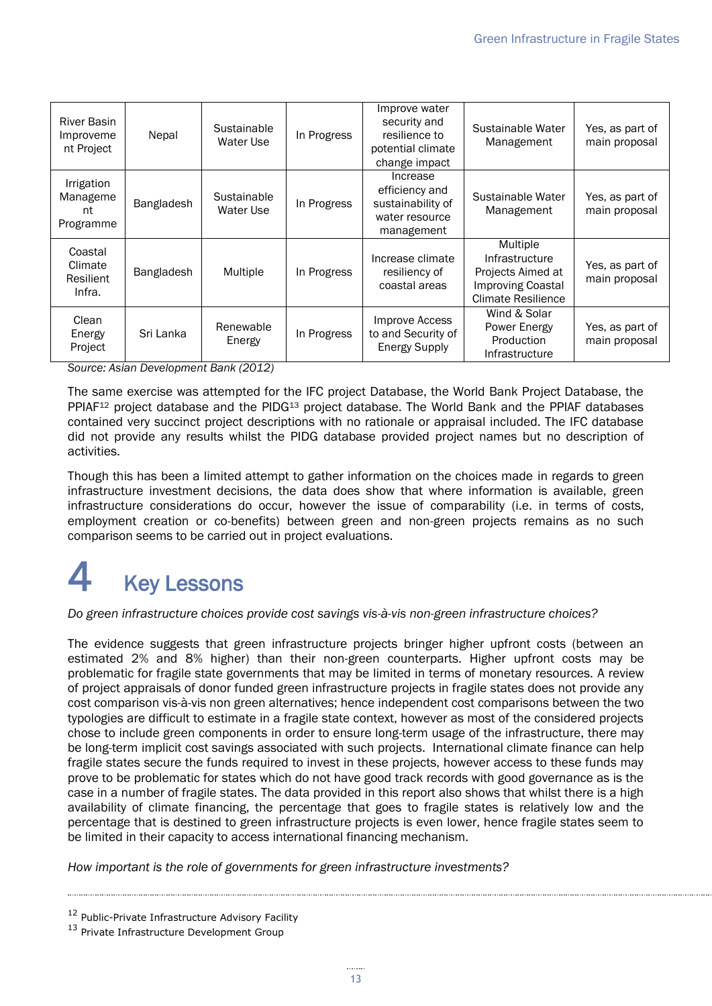| <b>River Basin</b><br>Improveme<br>nt Project | Nepal      | Sustainable<br>Water Use | In Progress | Improve water<br>security and<br>resilience to<br>potential climate<br>change impact | Sustainable Water<br>Management                                                                   | Yes, as part of<br>main proposal |
|-----------------------------------------------|------------|--------------------------|-------------|--------------------------------------------------------------------------------------|---------------------------------------------------------------------------------------------------|----------------------------------|
| Irrigation<br>Manageme<br>nt<br>Programme     | Bangladesh | Sustainable<br>Water Use | In Progress | Increase<br>efficiency and<br>sustainability of<br>water resource<br>management      | Sustainable Water<br>Management                                                                   | Yes, as part of<br>main proposal |
| Coastal<br>Climate<br>Resilient<br>Infra.     | Bangladesh | Multiple                 | In Progress | Increase climate<br>resiliency of<br>coastal areas                                   | Multiple<br>Infrastructure<br>Projects Aimed at<br><b>Improving Coastal</b><br>Climate Resilience | Yes, as part of<br>main proposal |
| Clean<br>Energy<br>Project                    | Sri Lanka  | Renewable<br>Energy      | In Progress | Improve Access<br>to and Security of<br><b>Energy Supply</b>                         | Wind & Solar<br>Power Energy<br>Production<br>Infrastructure                                      | Yes, as part of<br>main proposal |

*Source: Asian Development Bank (2012)*

The same exercise was attempted for the IFC project Database, the World Bank Project Database, the PPIAF<sup>12</sup> project database and the PIDG<sup>13</sup> project database. The World Bank and the PPIAF databases contained very succinct project descriptions with no rationale or appraisal included. The IFC database did not provide any results whilst the PIDG database provided project names but no description of activities.

Though this has been a limited attempt to gather information on the choices made in regards to green infrastructure investment decisions, the data does show that where information is available, green infrastructure considerations do occur, however the issue of comparability (i.e. in terms of costs, employment creation or co-benefits) between green and non-green projects remains as no such comparison seems to be carried out in project evaluations.

# <span id="page-16-0"></span>**Key Lessons**

*Do green infrastructure choices provide cost savings vis-à-vis non-green infrastructure choices?*

The evidence suggests that green infrastructure projects bringer higher upfront costs (between an estimated 2% and 8% higher) than their non-green counterparts. Higher upfront costs may be problematic for fragile state governments that may be limited in terms of monetary resources. A review of project appraisals of donor funded green infrastructure projects in fragile states does not provide any cost comparison vis-à-vis non green alternatives; hence independent cost comparisons between the two typologies are difficult to estimate in a fragile state context, however as most of the considered projects chose to include green components in order to ensure long-term usage of the infrastructure, there may be long-term implicit cost savings associated with such projects. International climate finance can help fragile states secure the funds required to invest in these projects, however access to these funds may prove to be problematic for states which do not have good track records with good governance as is the case in a number of fragile states. The data provided in this report also shows that whilst there is a high availability of climate financing, the percentage that goes to fragile states is relatively low and the percentage that is destined to green infrastructure projects is even lower, hence fragile states seem to be limited in their capacity to access international financing mechanism.

*How important is the role of governments for green infrastructure investments?*

<sup>&</sup>lt;sup>12</sup> Public-Private Infrastructure Advisory Facility

<sup>&</sup>lt;sup>13</sup> Private Infrastructure Development Group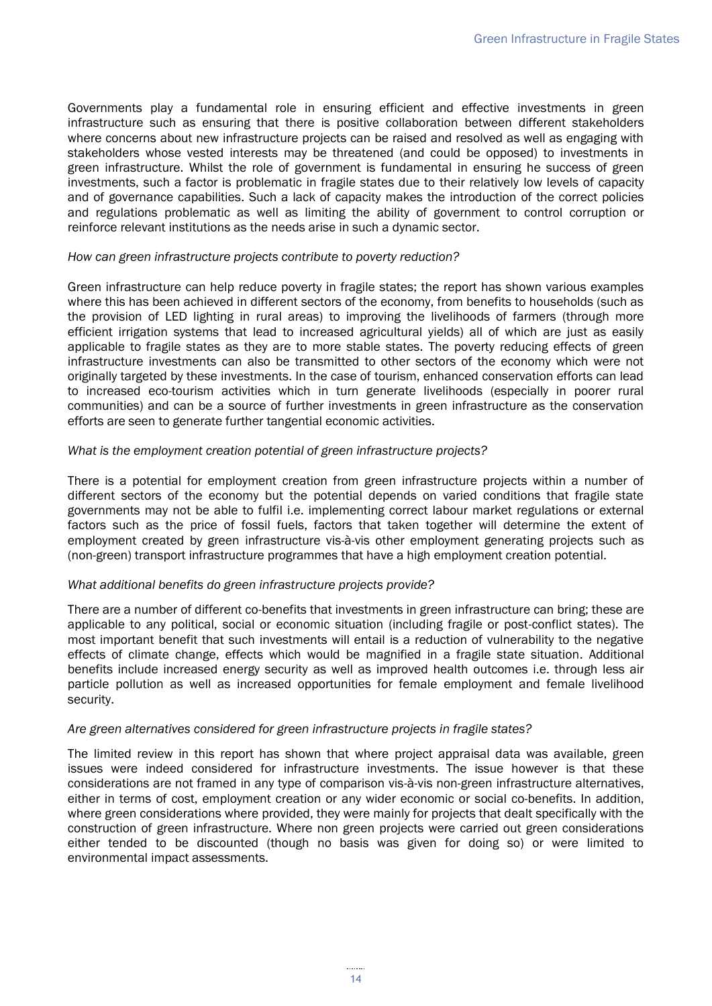Governments play a fundamental role in ensuring efficient and effective investments in green infrastructure such as ensuring that there is positive collaboration between different stakeholders where concerns about new infrastructure projects can be raised and resolved as well as engaging with stakeholders whose vested interests may be threatened (and could be opposed) to investments in green infrastructure. Whilst the role of government is fundamental in ensuring he success of green investments, such a factor is problematic in fragile states due to their relatively low levels of capacity and of governance capabilities. Such a lack of capacity makes the introduction of the correct policies and regulations problematic as well as limiting the ability of government to control corruption or reinforce relevant institutions as the needs arise in such a dynamic sector.

#### *How can green infrastructure projects contribute to poverty reduction?*

Green infrastructure can help reduce poverty in fragile states; the report has shown various examples where this has been achieved in different sectors of the economy, from benefits to households (such as the provision of LED lighting in rural areas) to improving the livelihoods of farmers (through more efficient irrigation systems that lead to increased agricultural yields) all of which are just as easily applicable to fragile states as they are to more stable states. The poverty reducing effects of green infrastructure investments can also be transmitted to other sectors of the economy which were not originally targeted by these investments. In the case of tourism, enhanced conservation efforts can lead to increased eco-tourism activities which in turn generate livelihoods (especially in poorer rural communities) and can be a source of further investments in green infrastructure as the conservation efforts are seen to generate further tangential economic activities.

#### *What is the employment creation potential of green infrastructure projects?*

There is a potential for employment creation from green infrastructure projects within a number of different sectors of the economy but the potential depends on varied conditions that fragile state governments may not be able to fulfil i.e. implementing correct labour market regulations or external factors such as the price of fossil fuels, factors that taken together will determine the extent of employment created by green infrastructure vis-à-vis other employment generating projects such as (non-green) transport infrastructure programmes that have a high employment creation potential.

#### *What additional benefits do green infrastructure projects provide?*

There are a number of different co-benefits that investments in green infrastructure can bring; these are applicable to any political, social or economic situation (including fragile or post-conflict states). The most important benefit that such investments will entail is a reduction of vulnerability to the negative effects of climate change, effects which would be magnified in a fragile state situation. Additional benefits include increased energy security as well as improved health outcomes i.e. through less air particle pollution as well as increased opportunities for female employment and female livelihood security.

#### *Are green alternatives considered for green infrastructure projects in fragile states?*

The limited review in this report has shown that where project appraisal data was available, green issues were indeed considered for infrastructure investments. The issue however is that these considerations are not framed in any type of comparison vis-à-vis non-green infrastructure alternatives, either in terms of cost, employment creation or any wider economic or social co-benefits. In addition, where green considerations where provided, they were mainly for projects that dealt specifically with the construction of green infrastructure. Where non green projects were carried out green considerations either tended to be discounted (though no basis was given for doing so) or were limited to environmental impact assessments.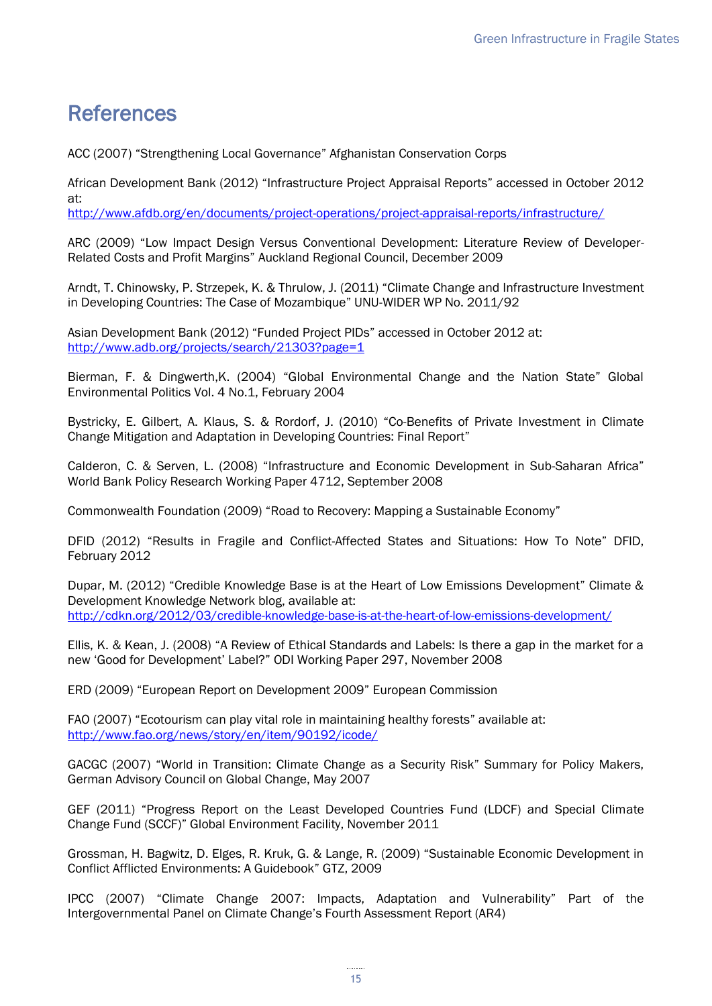# <span id="page-18-0"></span>References

ACC (2007) "Strengthening Local Governance" Afghanistan Conservation Corps

African Development Bank (2012) "Infrastructure Project Appraisal Reports" accessed in October 2012 at:

<http://www.afdb.org/en/documents/project-operations/project-appraisal-reports/infrastructure/>

ARC (2009) "Low Impact Design Versus Conventional Development: Literature Review of Developer-Related Costs and Profit Margins" Auckland Regional Council, December 2009

Arndt, T. Chinowsky, P. Strzepek, K. & Thrulow, J. (2011) "Climate Change and Infrastructure Investment in Developing Countries: The Case of Mozambique" UNU-WIDER WP No. 2011/92

Asian Development Bank (2012) "Funded Project PIDs" accessed in October 2012 at: <http://www.adb.org/projects/search/21303?page=1>

Bierman, F. & Dingwerth,K. (2004) "Global Environmental Change and the Nation State" Global Environmental Politics Vol. 4 No.1, February 2004

Bystricky, E. Gilbert, A. Klaus, S. & Rordorf, J. (2010) "Co-Benefits of Private Investment in Climate Change Mitigation and Adaptation in Developing Countries: Final Report"

Calderon, C. & Serven, L. (2008) "Infrastructure and Economic Development in Sub-Saharan Africa" World Bank Policy Research Working Paper 4712, September 2008

Commonwealth Foundation (2009) "Road to Recovery: Mapping a Sustainable Economy"

DFID (2012) "Results in Fragile and Conflict-Affected States and Situations: How To Note" DFID, February 2012

Dupar, M. (2012) "Credible Knowledge Base is at the Heart of Low Emissions Development" Climate & Development Knowledge Network blog, available at: <http://cdkn.org/2012/03/credible-knowledge-base-is-at-the-heart-of-low-emissions-development/>

Ellis, K. & Kean, J. (2008) "A Review of Ethical Standards and Labels: Is there a gap in the market for a new 'Good for Development' Label?" ODI Working Paper 297, November 2008

ERD (2009) "European Report on Development 2009" European Commission

FAO (2007) "Ecotourism can play vital role in maintaining healthy forests" available at: <http://www.fao.org/news/story/en/item/90192/icode/>

GACGC (2007) "World in Transition: Climate Change as a Security Risk" Summary for Policy Makers, German Advisory Council on Global Change, May 2007

GEF (2011) "Progress Report on the Least Developed Countries Fund (LDCF) and Special Climate Change Fund (SCCF)" Global Environment Facility, November 2011

Grossman, H. Bagwitz, D. Elges, R. Kruk, G. & Lange, R. (2009) "Sustainable Economic Development in Conflict Afflicted Environments: A Guidebook" GTZ, 2009

IPCC (2007) "Climate Change 2007: Impacts, Adaptation and Vulnerability" Part of the Intergovernmental Panel on Climate Change's Fourth Assessment Report (AR4)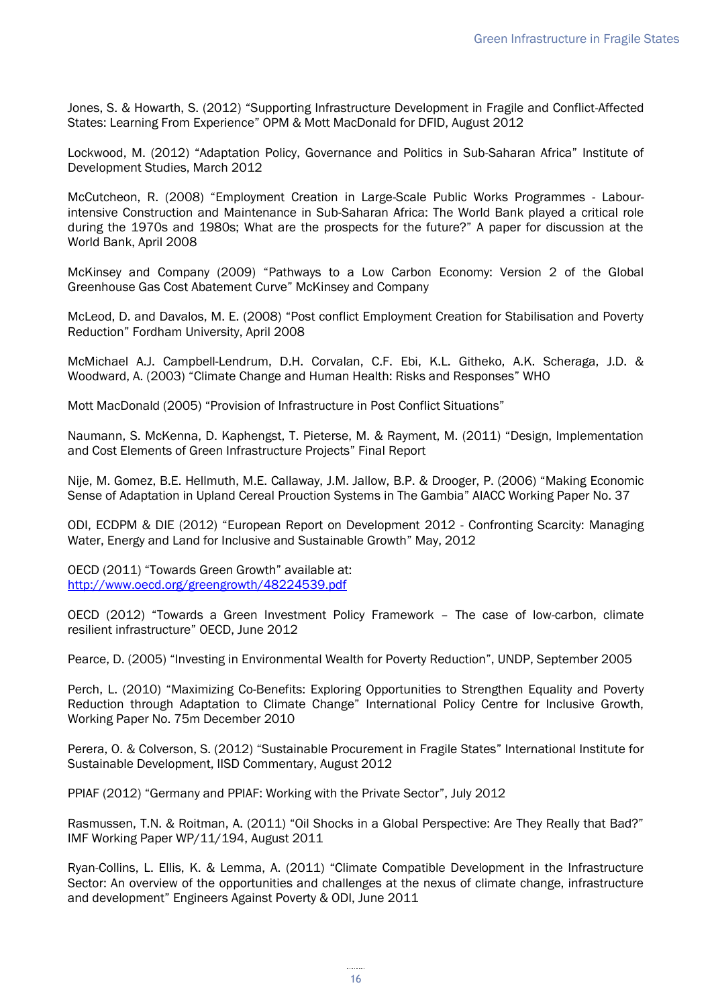Jones, S. & Howarth, S. (2012) "Supporting Infrastructure Development in Fragile and Conflict-Affected States: Learning From Experience" OPM & Mott MacDonald for DFID, August 2012

Lockwood, M. (2012) "Adaptation Policy, Governance and Politics in Sub-Saharan Africa" Institute of Development Studies, March 2012

McCutcheon, R. (2008) "Employment Creation in Large-Scale Public Works Programmes - Labourintensive Construction and Maintenance in Sub-Saharan Africa: The World Bank played a critical role during the 1970s and 1980s; What are the prospects for the future?" A paper for discussion at the World Bank, April 2008

McKinsey and Company (2009) "Pathways to a Low Carbon Economy: Version 2 of the Global Greenhouse Gas Cost Abatement Curve" McKinsey and Company

McLeod, D. and Davalos, M. E. (2008) "Post conflict Employment Creation for Stabilisation and Poverty Reduction" Fordham University, April 2008

McMichael A.J. Campbell-Lendrum, D.H. Corvalan, C.F. Ebi, K.L. Githeko, A.K. Scheraga, J.D. & Woodward, A. (2003) "Climate Change and Human Health: Risks and Responses" WHO

Mott MacDonald (2005) "Provision of Infrastructure in Post Conflict Situations"

Naumann, S. McKenna, D. Kaphengst, T. Pieterse, M. & Rayment, M. (2011) "Design, Implementation and Cost Elements of Green Infrastructure Projects" Final Report

Nije, M. Gomez, B.E. Hellmuth, M.E. Callaway, J.M. Jallow, B.P. & Drooger, P. (2006) "Making Economic Sense of Adaptation in Upland Cereal Prouction Systems in The Gambia" AIACC Working Paper No. 37

ODI, ECDPM & DIE (2012) "European Report on Development 2012 - Confronting Scarcity: Managing Water, Energy and Land for Inclusive and Sustainable Growth" May, 2012

OECD (2011) "Towards Green Growth" available at: <http://www.oecd.org/greengrowth/48224539.pdf>

OECD (2012) "Towards a Green Investment Policy Framework – The case of low-carbon, climate resilient infrastructure" OECD, June 2012

Pearce, D. (2005) "Investing in Environmental Wealth for Poverty Reduction", UNDP, September 2005

Perch, L. (2010) "Maximizing Co-Benefits: Exploring Opportunities to Strengthen Equality and Poverty Reduction through Adaptation to Climate Change" International Policy Centre for Inclusive Growth, Working Paper No. 75m December 2010

Perera, O. & Colverson, S. (2012) "Sustainable Procurement in Fragile States" International Institute for Sustainable Development, IISD Commentary, August 2012

PPIAF (2012) "Germany and PPIAF: Working with the Private Sector", July 2012

Rasmussen, T.N. & Roitman, A. (2011) "Oil Shocks in a Global Perspective: Are They Really that Bad?" IMF Working Paper WP/11/194, August 2011

Ryan-Collins, L. Ellis, K. & Lemma, A. (2011) "Climate Compatible Development in the Infrastructure Sector: An overview of the opportunities and challenges at the nexus of climate change, infrastructure and development" Engineers Against Poverty & ODI, June 2011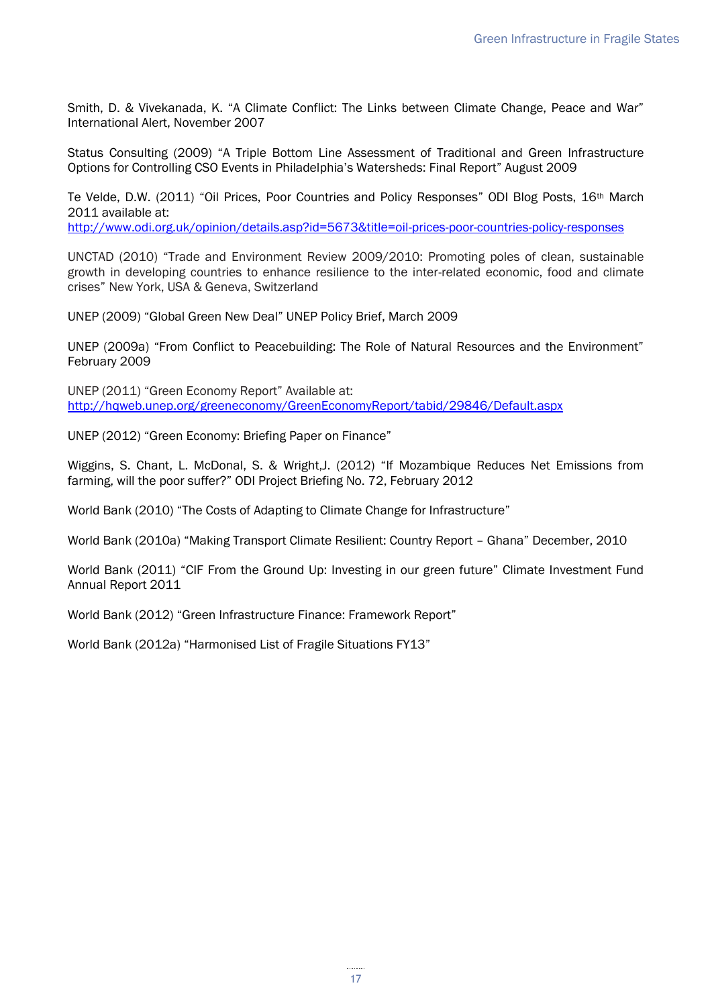Smith, D. & Vivekanada, K. "A Climate Conflict: The Links between Climate Change, Peace and War" International Alert, November 2007

Status Consulting (2009) "A Triple Bottom Line Assessment of Traditional and Green Infrastructure Options for Controlling CSO Events in Philadelphia's Watersheds: Final Report" August 2009

Te Velde, D.W. (2011) "Oil Prices, Poor Countries and Policy Responses" ODI Blog Posts, 16th March 2011 available at:

<http://www.odi.org.uk/opinion/details.asp?id=5673&title=oil-prices-poor-countries-policy-responses>

UNCTAD (2010) "Trade and Environment Review 2009/2010: Promoting poles of clean, sustainable growth in developing countries to enhance resilience to the inter-related economic, food and climate crises" New York, USA & Geneva, Switzerland

UNEP (2009) "Global Green New Deal" UNEP Policy Brief, March 2009

UNEP (2009a) "From Conflict to Peacebuilding: The Role of Natural Resources and the Environment" February 2009

UNEP (2011) "Green Economy Report" Available at: <http://hqweb.unep.org/greeneconomy/GreenEconomyReport/tabid/29846/Default.aspx>

UNEP (2012) "Green Economy: Briefing Paper on Finance"

Wiggins, S. Chant, L. McDonal, S. & Wright,J. (2012) "If Mozambique Reduces Net Emissions from farming, will the poor suffer?" ODI Project Briefing No. 72, February 2012

World Bank (2010) "The Costs of Adapting to Climate Change for Infrastructure"

World Bank (2010a) "Making Transport Climate Resilient: Country Report – Ghana" December, 2010

World Bank (2011) "CIF From the Ground Up: Investing in our green future" Climate Investment Fund Annual Report 2011

World Bank (2012) "Green Infrastructure Finance: Framework Report"

<span id="page-20-0"></span>World Bank (2012a) "Harmonised List of Fragile Situations FY13"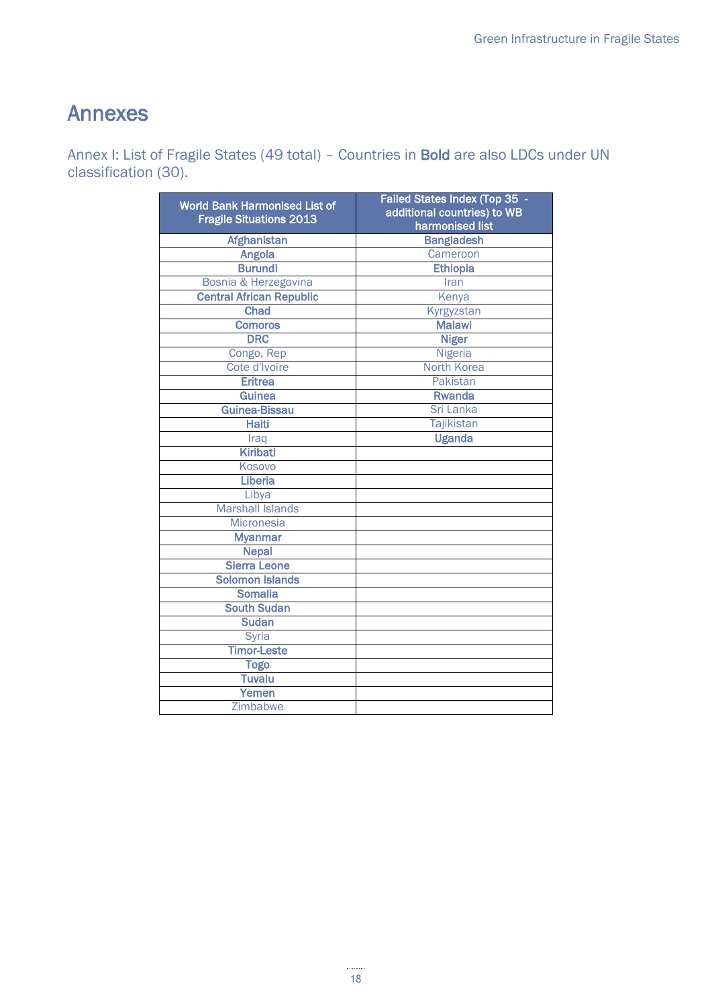# Annexes

Annex I: List of Fragile States (49 total) – Countries in Bold are also LDCs under UN classification (30).

| <b>World Bank Harmonised List of</b><br><b>Fragile Situations 2013</b> | Failed States Index (Top 35 -<br>additional countries) to WB<br>harmonised list |  |  |  |
|------------------------------------------------------------------------|---------------------------------------------------------------------------------|--|--|--|
| <b>Afghanistan</b>                                                     | <b>Bangladesh</b>                                                               |  |  |  |
| <b>Angola</b>                                                          | Cameroon                                                                        |  |  |  |
| <b>Burundi</b>                                                         | <b>Ethiopia</b>                                                                 |  |  |  |
| Bosnia & Herzegovina                                                   | Iran                                                                            |  |  |  |
| <b>Central African Republic</b>                                        | Kenya                                                                           |  |  |  |
| Chad                                                                   | Kyrgyzstan                                                                      |  |  |  |
| <b>Comoros</b>                                                         | <b>Malawi</b>                                                                   |  |  |  |
| <b>DRC</b>                                                             | <b>Niger</b>                                                                    |  |  |  |
| Congo, Rep                                                             | <b>Nigeria</b>                                                                  |  |  |  |
| Cote d'Ivoire                                                          | North Korea                                                                     |  |  |  |
| <b>Eritrea</b>                                                         | Pakistan                                                                        |  |  |  |
| <b>Guinea</b>                                                          | <b>Rwanda</b>                                                                   |  |  |  |
| Guinea-Bissau                                                          | Sri Lanka                                                                       |  |  |  |
| <b>Haiti</b>                                                           | <b>Tajikistan</b>                                                               |  |  |  |
| Iraq                                                                   | <b>Uganda</b>                                                                   |  |  |  |
| <b>Kiribati</b>                                                        |                                                                                 |  |  |  |
| Kosovo                                                                 |                                                                                 |  |  |  |
| Liberia                                                                |                                                                                 |  |  |  |
| Libya                                                                  |                                                                                 |  |  |  |
| <b>Marshall Islands</b>                                                |                                                                                 |  |  |  |
| <b>Micronesia</b>                                                      |                                                                                 |  |  |  |
| <b>Myanmar</b>                                                         |                                                                                 |  |  |  |
| <b>Nepal</b>                                                           |                                                                                 |  |  |  |
| <b>Sierra Leone</b>                                                    |                                                                                 |  |  |  |
| <b>Solomon Islands</b>                                                 |                                                                                 |  |  |  |
| <b>Somalia</b>                                                         |                                                                                 |  |  |  |
| <b>South Sudan</b>                                                     |                                                                                 |  |  |  |
| <b>Sudan</b>                                                           |                                                                                 |  |  |  |
| Syria                                                                  |                                                                                 |  |  |  |
| <b>Timor-Leste</b>                                                     |                                                                                 |  |  |  |
| <b>Togo</b>                                                            |                                                                                 |  |  |  |
| <b>Tuvalu</b>                                                          |                                                                                 |  |  |  |
| Yemen                                                                  |                                                                                 |  |  |  |
| Zimbabwe                                                               |                                                                                 |  |  |  |